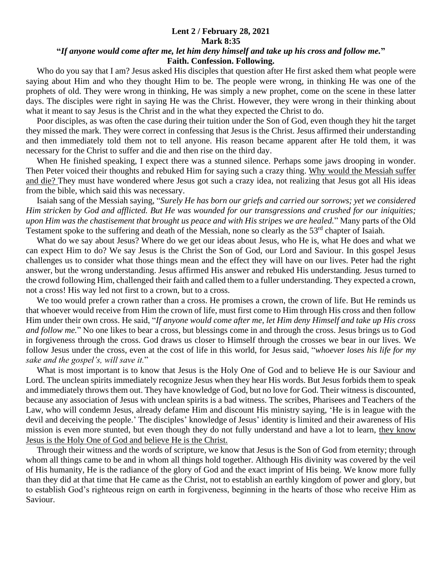## **Lent 2 / February 28, 2021 Mark 8:35**

## **"***If anyone would come after me, let him deny himself and take up his cross and follow me.***" Faith. Confession. Following.**

 Who do you say that I am? Jesus asked His disciples that question after He first asked them what people were saying about Him and who they thought Him to be. The people were wrong, in thinking He was one of the prophets of old. They were wrong in thinking, He was simply a new prophet, come on the scene in these latter days. The disciples were right in saying He was the Christ. However, they were wrong in their thinking about what it meant to say Jesus is the Christ and in the what they expected the Christ to do.

 Poor disciples, as was often the case during their tuition under the Son of God, even though they hit the target they missed the mark. They were correct in confessing that Jesus is the Christ. Jesus affirmed their understanding and then immediately told them not to tell anyone. His reason became apparent after He told them, it was necessary for the Christ to suffer and die and then rise on the third day.

 When He finished speaking, I expect there was a stunned silence. Perhaps some jaws drooping in wonder. Then Peter voiced their thoughts and rebuked Him for saying such a crazy thing. Why would the Messiah suffer and die? They must have wondered where Jesus got such a crazy idea, not realizing that Jesus got all His ideas from the bible, which said this was necessary.

 Isaiah sang of the Messiah saying, "*Surely He has born our griefs and carried our sorrows; yet we considered Him stricken by God and afflicted. But He was wounded for our transgressions and crushed for our iniquities; upon Him was the chastisement that brought us peace and with His stripes we are healed.*" Many parts of the Old Testament spoke to the suffering and death of the Messiah, none so clearly as the 53<sup>rd</sup> chapter of Isaiah.

 What do we say about Jesus? Where do we get our ideas about Jesus, who He is, what He does and what we can expect Him to do? We say Jesus is the Christ the Son of God, our Lord and Saviour. In this gospel Jesus challenges us to consider what those things mean and the effect they will have on our lives. Peter had the right answer, but the wrong understanding. Jesus affirmed His answer and rebuked His understanding. Jesus turned to the crowd following Him, challenged their faith and called them to a fuller understanding. They expected a crown, not a cross! His way led not first to a crown, but to a cross.

We too would prefer a crown rather than a cross. He promises a crown, the crown of life. But He reminds us that whoever would receive from Him the crown of life, must first come to Him through His cross and then follow Him under their own cross. He said, "*If anyone would come after me, let Him deny Himself and take up His cross and follow me.*" No one likes to bear a cross, but blessings come in and through the cross. Jesus brings us to God in forgiveness through the cross. God draws us closer to Himself through the crosses we bear in our lives. We follow Jesus under the cross, even at the cost of life in this world, for Jesus said, "*whoever loses his life for my sake and the gospel's, will save it.*"

 What is most important is to know that Jesus is the Holy One of God and to believe He is our Saviour and Lord. The unclean spirits immediately recognize Jesus when they hear His words. But Jesus forbids them to speak and immediately throws them out. They have knowledge of God, but no love for God. Their witness is discounted, because any association of Jesus with unclean spirits is a bad witness. The scribes, Pharisees and Teachers of the Law, who will condemn Jesus, already defame Him and discount His ministry saying, 'He is in league with the devil and deceiving the people.' The disciples' knowledge of Jesus' identity is limited and their awareness of His mission is even more stunted, but even though they do not fully understand and have a lot to learn, they know Jesus is the Holy One of God and believe He is the Christ.

 Through their witness and the words of scripture, we know that Jesus is the Son of God from eternity; through whom all things came to be and in whom all things hold together. Although His divinity was covered by the veil of His humanity, He is the radiance of the glory of God and the exact imprint of His being. We know more fully than they did at that time that He came as the Christ, not to establish an earthly kingdom of power and glory, but to establish God's righteous reign on earth in forgiveness, beginning in the hearts of those who receive Him as Saviour.